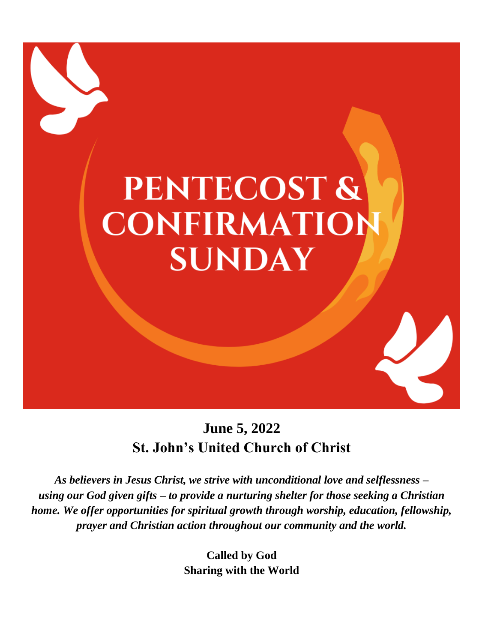

# **June 5, 2022** **St. John's United Church of Christ**

*As believers in Jesus Christ, we strive with unconditional love and selflessness – using our God given gifts – to provide a nurturing shelter for those seeking a Christian home. We offer opportunities for spiritual growth through worship, education, fellowship, prayer and Christian action throughout our community and the world.*

> **Called by God Sharing with the World**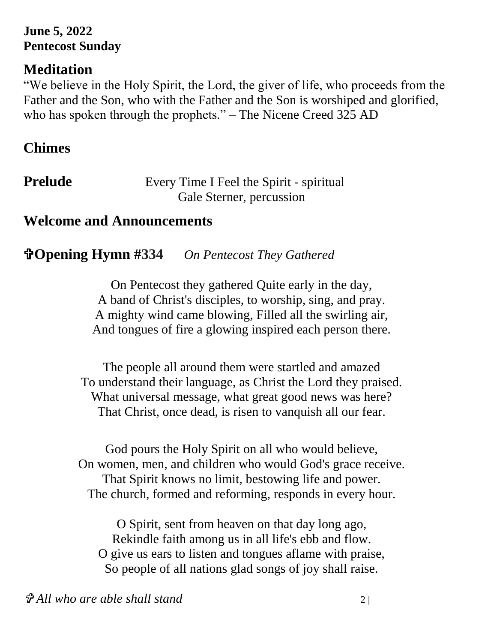## **June 5, 2022 Pentecost Sunday**

# **Meditation**

"We believe in the Holy Spirit, the Lord, the giver of life, who proceeds from the Father and the Son, who with the Father and the Son is worshiped and glorified, who has spoken through the prophets." – The Nicene Creed 325 AD

# **Chimes**

| Prelude | Every Time I Feel the Spirit - spiritual |  |
|---------|------------------------------------------|--|
|         | Gale Sterner, percussion                 |  |

#### **Welcome and Announcements**

**Opening Hymn #334** *On Pentecost They Gathered*

On Pentecost they gathered Quite early in the day, A band of Christ's disciples, to worship, sing, and pray. A mighty wind came blowing, Filled all the swirling air, And tongues of fire a glowing inspired each person there.

The people all around them were startled and amazed To understand their language, as Christ the Lord they praised. What universal message, what great good news was here? That Christ, once dead, is risen to vanquish all our fear.

God pours the Holy Spirit on all who would believe, On women, men, and children who would God's grace receive. That Spirit knows no limit, bestowing life and power. The church, formed and reforming, responds in every hour.

O Spirit, sent from heaven on that day long ago, Rekindle faith among us in all life's ebb and flow. O give us ears to listen and tongues aflame with praise, So people of all nations glad songs of joy shall raise.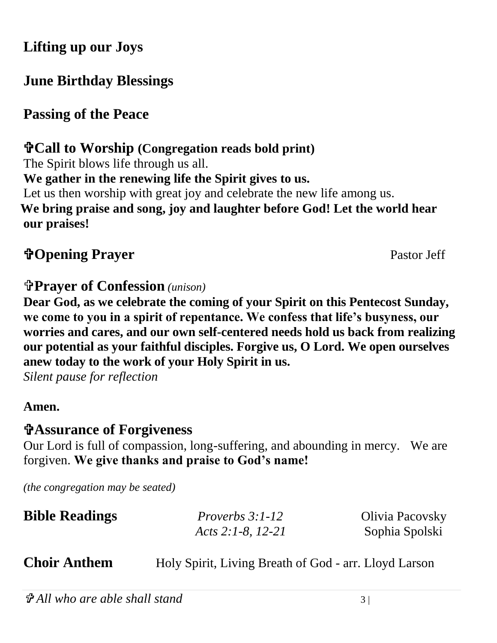# **Lifting up our Joys**

# **June Birthday Blessings**

# **Passing of the Peace**

**Call to Worship (Congregation reads bold print)** The Spirit blows life through us all. **We gather in the renewing life the Spirit gives to us.** Let us then worship with great joy and celebrate the new life among us.  **We bring praise and song, joy and laughter before God! Let the world hear our praises!**

# **The Opening Prayer Service Service Service Service Service Service Service Service Service Service Service Service Service Service Service Service Service Service Service Service Service Service Service Service Service Se**

**Prayer of Confession** *(unison)*

**Dear God, as we celebrate the coming of your Spirit on this Pentecost Sunday, we come to you in a spirit of repentance. We confess that life's busyness, our worries and cares, and our own self-centered needs hold us back from realizing our potential as your faithful disciples. Forgive us, O Lord. We open ourselves anew today to the work of your Holy Spirit in us.** 

*Silent pause for reflection* 

## **Amen.**

# **Assurance of Forgiveness**

Our Lord is full of compassion, long-suffering, and abounding in mercy. We are forgiven. **We give thanks and praise to God's name!**

*(the congregation may be seated)*

| <b>Bible Readings</b> | Proverbs $3:1-12$ | Olivia Pacovsky |
|-----------------------|-------------------|-----------------|
|                       | Acts 2:1-8, 12-21 | Sophia Spolski  |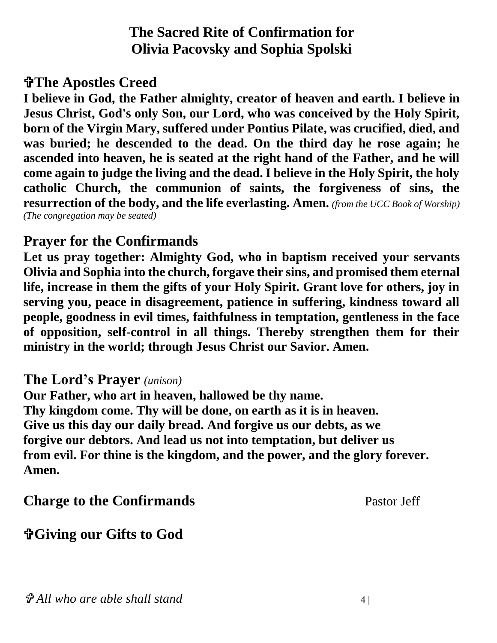## **The Sacred Rite of Confirmation for Olivia Pacovsky and Sophia Spolski**

#### **The Apostles Creed**

**I believe in God, the Father almighty, creator of heaven and earth. I believe in Jesus Christ, God's only Son, our Lord, who was conceived by the Holy Spirit, born of the Virgin Mary, suffered under Pontius Pilate, was crucified, died, and was buried; he descended to the dead. On the third day he rose again; he ascended into heaven, he is seated at the right hand of the Father, and he will come again to judge the living and the dead. I believe in the Holy Spirit, the holy catholic Church, the communion of saints, the forgiveness of sins, the resurrection of the body, and the life everlasting. Amen.** *(from the UCC Book of Worship) (The congregation may be seated)*

#### **Prayer for the Confirmands**

**Let us pray together: Almighty God, who in baptism received your servants Olivia and Sophia into the church, forgave their sins, and promised them eternal life, increase in them the gifts of your Holy Spirit. Grant love for others, joy in serving you, peace in disagreement, patience in suffering, kindness toward all people, goodness in evil times, faithfulness in temptation, gentleness in the face of opposition, self-control in all things. Thereby strengthen them for their ministry in the world; through Jesus Christ our Savior. Amen.**

#### **The Lord's Prayer** *(unison)*

**Our Father, who art in heaven, hallowed be thy name. Thy kingdom come. Thy will be done, on earth as it is in heaven. Give us this day our daily bread. And forgive us our debts, as we forgive our debtors. And lead us not into temptation, but deliver us from evil. For thine is the kingdom, and the power, and the glory forever. Amen.**

**Charge to the Confirmands Pastor Jeff** 

# **Giving our Gifts to God**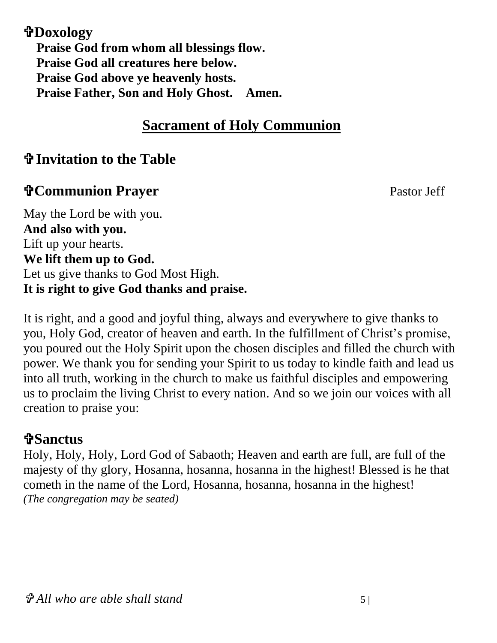*All who are able shall stand* 5 |

**Doxology Praise God from whom all blessings flow. Praise God all creatures here below. Praise God above ye heavenly hosts. Praise Father, Son and Holy Ghost. Amen.** 

# **Sacrament of Holy Communion**

# **Invitation to the Table**

# **The Communion Prayer Service Service Service Service Service Service Service Service Service Service Service Service Service Service Service Service Service Service Service Service Service Service Service Service Service**

May the Lord be with you. **And also with you.** Lift up your hearts. **We lift them up to God.** Let us give thanks to God Most High. **It is right to give God thanks and praise.**

It is right, and a good and joyful thing, always and everywhere to give thanks to you, Holy God, creator of heaven and earth. In the fulfillment of Christ's promise, you poured out the Holy Spirit upon the chosen disciples and filled the church with power. We thank you for sending your Spirit to us today to kindle faith and lead us into all truth, working in the church to make us faithful disciples and empowering us to proclaim the living Christ to every nation. And so we join our voices with all creation to praise you:

# **Sanctus**

Holy, Holy, Holy, Lord God of Sabaoth; Heaven and earth are full, are full of the majesty of thy glory, Hosanna, hosanna, hosanna in the highest! Blessed is he that cometh in the name of the Lord, Hosanna, hosanna, hosanna in the highest! *(The congregation may be seated)*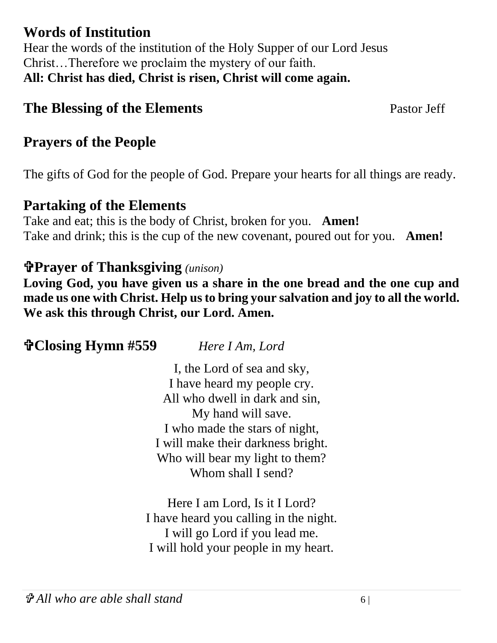# **Words of Institution**

Hear the words of the institution of the Holy Supper of our Lord Jesus Christ…Therefore we proclaim the mystery of our faith. **All: Christ has died, Christ is risen, Christ will come again.**

## **The Blessing of the Elements Pastor Jeff**

# **Prayers of the People**

The gifts of God for the people of God. Prepare your hearts for all things are ready.

# **Partaking of the Elements**

Take and eat; this is the body of Christ, broken for you. **Amen!** Take and drink; this is the cup of the new covenant, poured out for you. **Amen!**

# **Prayer of Thanksgiving** *(unison)*

**Loving God, you have given us a share in the one bread and the one cup and made us one with Christ. Help us to bring your salvation and joy to all the world. We ask this through Christ, our Lord. Amen.**

**Closing Hymn #559** *Here I Am, Lord*

I, the Lord of sea and sky, I have heard my people cry. All who dwell in dark and sin, My hand will save. I who made the stars of night, I will make their darkness bright. Who will bear my light to them? Whom shall I send?

Here I am Lord, Is it I Lord? I have heard you calling in the night. I will go Lord if you lead me. I will hold your people in my heart.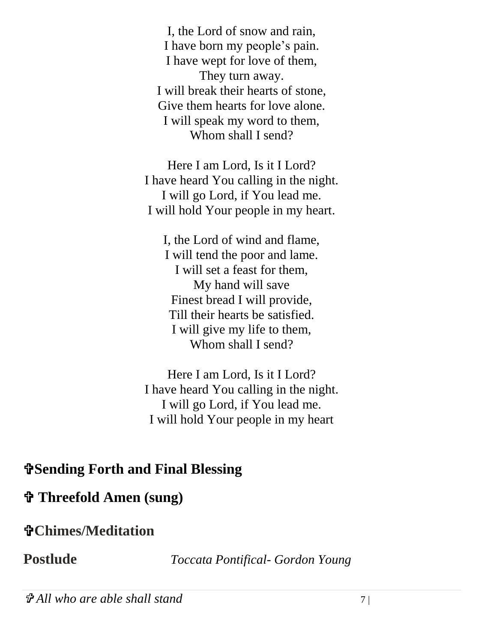I, the Lord of snow and rain, I have born my people's pain. I have wept for love of them, They turn away. I will break their hearts of stone, Give them hearts for love alone. I will speak my word to them, Whom shall I send?

Here I am Lord, Is it I Lord? I have heard You calling in the night. I will go Lord, if You lead me. I will hold Your people in my heart.

I, the Lord of wind and flame, I will tend the poor and lame. I will set a feast for them, My hand will save Finest bread I will provide, Till their hearts be satisfied. I will give my life to them, Whom shall I send?

Here I am Lord, Is it I Lord? I have heard You calling in the night. I will go Lord, if You lead me. I will hold Your people in my heart

## **Sending Forth and Final Blessing**

## **Threefold Amen (sung)**

## **Chimes/Meditation**

**Postlude** *Toccata Pontifical- Gordon Young*

*All who are able shall stand*  $\frac{7}{4}$